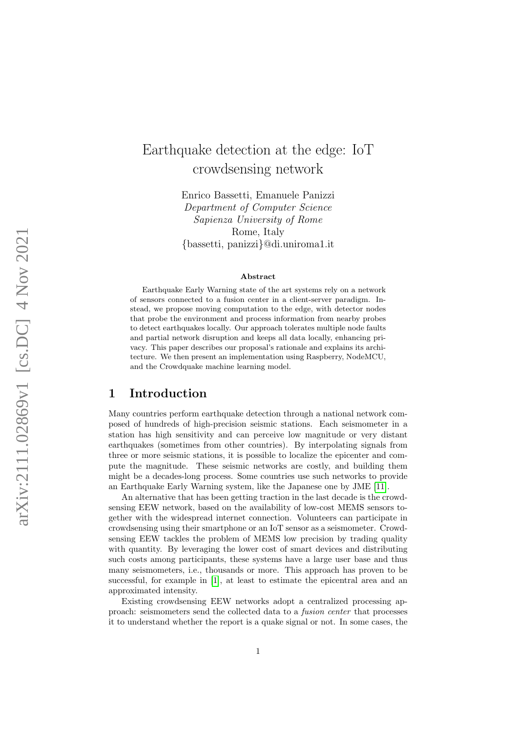# Earthquake detection at the edge: IoT crowdsensing network

Enrico Bassetti, Emanuele Panizzi Department of Computer Science Sapienza University of Rome Rome, Italy {bassetti, panizzi}@di.uniroma1.it

#### Abstract

Earthquake Early Warning state of the art systems rely on a network of sensors connected to a fusion center in a client-server paradigm. Instead, we propose moving computation to the edge, with detector nodes that probe the environment and process information from nearby probes to detect earthquakes locally. Our approach tolerates multiple node faults and partial network disruption and keeps all data locally, enhancing privacy. This paper describes our proposal's rationale and explains its architecture. We then present an implementation using Raspberry, NodeMCU, and the Crowdquake machine learning model.

# 1 Introduction

Many countries perform earthquake detection through a national network composed of hundreds of high-precision seismic stations. Each seismometer in a station has high sensitivity and can perceive low magnitude or very distant earthquakes (sometimes from other countries). By interpolating signals from three or more seismic stations, it is possible to localize the epicenter and compute the magnitude. These seismic networks are costly, and building them might be a decades-long process. Some countries use such networks to provide an Earthquake Early Warning system, like the Japanese one by JME [\[11\]](#page-13-0).

An alternative that has been getting traction in the last decade is the crowdsensing EEW network, based on the availability of low-cost MEMS sensors together with the widespread internet connection. Volunteers can participate in crowdsensing using their smartphone or an IoT sensor as a seismometer. Crowdsensing EEW tackles the problem of MEMS low precision by trading quality with quantity. By leveraging the lower cost of smart devices and distributing such costs among participants, these systems have a large user base and thus many seismometers, i.e., thousands or more. This approach has proven to be successful, for example in [\[1\]](#page-12-0), at least to estimate the epicentral area and an approximated intensity.

Existing crowdsensing EEW networks adopt a centralized processing approach: seismometers send the collected data to a fusion center that processes it to understand whether the report is a quake signal or not. In some cases, the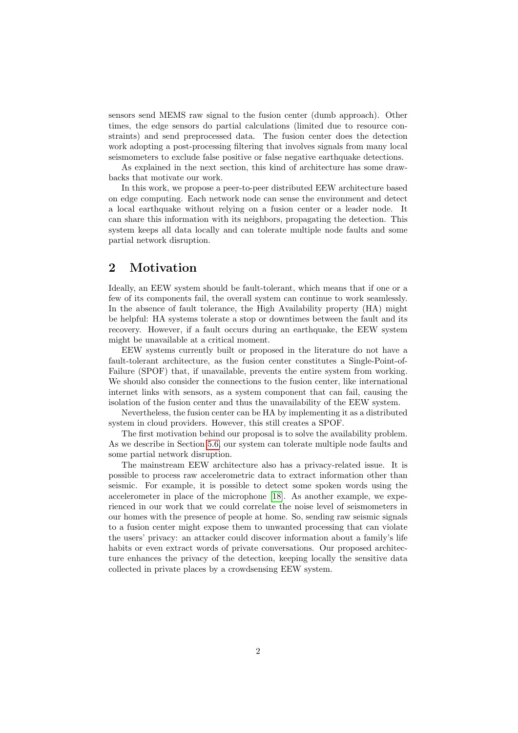sensors send MEMS raw signal to the fusion center (dumb approach). Other times, the edge sensors do partial calculations (limited due to resource constraints) and send preprocessed data. The fusion center does the detection work adopting a post-processing filtering that involves signals from many local seismometers to exclude false positive or false negative earthquake detections.

As explained in the next section, this kind of architecture has some drawbacks that motivate our work.

In this work, we propose a peer-to-peer distributed EEW architecture based on edge computing. Each network node can sense the environment and detect a local earthquake without relying on a fusion center or a leader node. It can share this information with its neighbors, propagating the detection. This system keeps all data locally and can tolerate multiple node faults and some partial network disruption.

# 2 Motivation

Ideally, an EEW system should be fault-tolerant, which means that if one or a few of its components fail, the overall system can continue to work seamlessly. In the absence of fault tolerance, the High Availability property (HA) might be helpful: HA systems tolerate a stop or downtimes between the fault and its recovery. However, if a fault occurs during an earthquake, the EEW system might be unavailable at a critical moment.

EEW systems currently built or proposed in the literature do not have a fault-tolerant architecture, as the fusion center constitutes a Single-Point-of-Failure (SPOF) that, if unavailable, prevents the entire system from working. We should also consider the connections to the fusion center, like international internet links with sensors, as a system component that can fail, causing the isolation of the fusion center and thus the unavailability of the EEW system.

Nevertheless, the fusion center can be HA by implementing it as a distributed system in cloud providers. However, this still creates a SPOF.

The first motivation behind our proposal is to solve the availability problem. As we describe in Section [5.6,](#page-6-0) our system can tolerate multiple node faults and some partial network disruption.

The mainstream EEW architecture also has a privacy-related issue. It is possible to process raw accelerometric data to extract information other than seismic. For example, it is possible to detect some spoken words using the accelerometer in place of the microphone [\[18\]](#page-13-1). As another example, we experienced in our work that we could correlate the noise level of seismometers in our homes with the presence of people at home. So, sending raw seismic signals to a fusion center might expose them to unwanted processing that can violate the users' privacy: an attacker could discover information about a family's life habits or even extract words of private conversations. Our proposed architecture enhances the privacy of the detection, keeping locally the sensitive data collected in private places by a crowdsensing EEW system.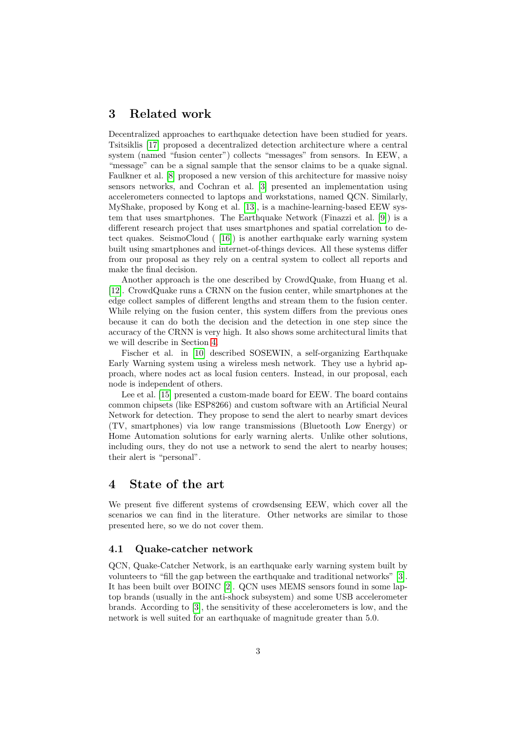# 3 Related work

Decentralized approaches to earthquake detection have been studied for years. Tsitsiklis [\[17\]](#page-13-2) proposed a decentralized detection architecture where a central system (named "fusion center") collects "messages" from sensors. In EEW, a "message" can be a signal sample that the sensor claims to be a quake signal. Faulkner et al. [\[8\]](#page-12-1) proposed a new version of this architecture for massive noisy sensors networks, and Cochran et al. [\[3\]](#page-12-2) presented an implementation using accelerometers connected to laptops and workstations, named QCN. Similarly, MyShake, proposed by Kong et al. [\[13\]](#page-13-3), is a machine-learning-based EEW system that uses smartphones. The Earthquake Network (Finazzi et al. [\[9\]](#page-13-4)) is a different research project that uses smartphones and spatial correlation to detect quakes. SeismoCloud ( [\[16\]](#page-13-5)) is another earthquake early warning system built using smartphones and internet-of-things devices. All these systems differ from our proposal as they rely on a central system to collect all reports and make the final decision.

Another approach is the one described by CrowdQuake, from Huang et al. [\[12\]](#page-13-6). CrowdQuake runs a CRNN on the fusion center, while smartphones at the edge collect samples of different lengths and stream them to the fusion center. While relying on the fusion center, this system differs from the previous ones because it can do both the decision and the detection in one step since the accuracy of the CRNN is very high. It also shows some architectural limits that we will describe in Section [4.](#page-2-0)

Fischer et al. in [\[10\]](#page-13-7) described SOSEWIN, a self-organizing Earthquake Early Warning system using a wireless mesh network. They use a hybrid approach, where nodes act as local fusion centers. Instead, in our proposal, each node is independent of others.

Lee et al. [\[15\]](#page-13-8) presented a custom-made board for EEW. The board contains common chipsets (like ESP8266) and custom software with an Artificial Neural Network for detection. They propose to send the alert to nearby smart devices (TV, smartphones) via low range transmissions (Bluetooth Low Energy) or Home Automation solutions for early warning alerts. Unlike other solutions, including ours, they do not use a network to send the alert to nearby houses; their alert is "personal".

# <span id="page-2-0"></span>4 State of the art

We present five different systems of crowdsensing EEW, which cover all the scenarios we can find in the literature. Other networks are similar to those presented here, so we do not cover them.

#### 4.1 Quake-catcher network

QCN, Quake-Catcher Network, is an earthquake early warning system built by volunteers to "fill the gap between the earthquake and traditional networks" [\[3\]](#page-12-2). It has been built over BOINC [\[2\]](#page-12-3). QCN uses MEMS sensors found in some laptop brands (usually in the anti-shock subsystem) and some USB accelerometer brands. According to [\[3\]](#page-12-2), the sensitivity of these accelerometers is low, and the network is well suited for an earthquake of magnitude greater than 5.0.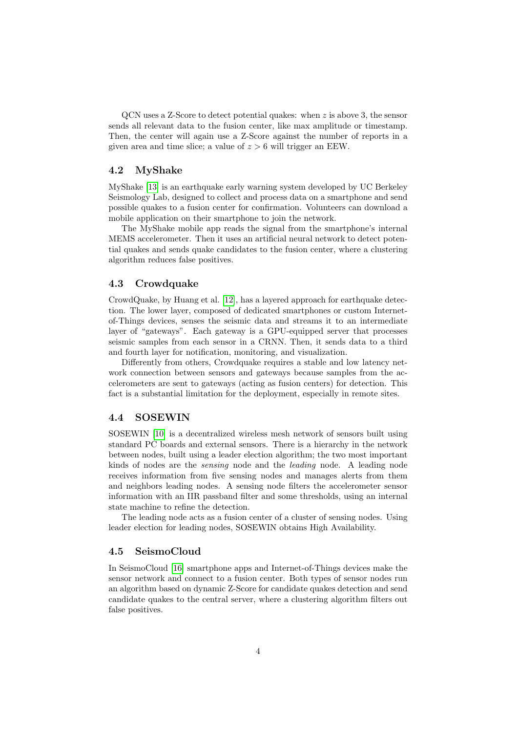QCN uses a Z-Score to detect potential quakes: when z is above 3, the sensor sends all relevant data to the fusion center, like max amplitude or timestamp. Then, the center will again use a Z-Score against the number of reports in a given area and time slice; a value of  $z > 6$  will trigger an EEW.

### 4.2 MyShake

MyShake [\[13\]](#page-13-3) is an earthquake early warning system developed by UC Berkeley Seismology Lab, designed to collect and process data on a smartphone and send possible quakes to a fusion center for confirmation. Volunteers can download a mobile application on their smartphone to join the network.

The MyShake mobile app reads the signal from the smartphone's internal MEMS accelerometer. Then it uses an artificial neural network to detect potential quakes and sends quake candidates to the fusion center, where a clustering algorithm reduces false positives.

#### 4.3 Crowdquake

CrowdQuake, by Huang et al. [\[12\]](#page-13-6), has a layered approach for earthquake detection. The lower layer, composed of dedicated smartphones or custom Internetof-Things devices, senses the seismic data and streams it to an intermediate layer of "gateways". Each gateway is a GPU-equipped server that processes seismic samples from each sensor in a CRNN. Then, it sends data to a third and fourth layer for notification, monitoring, and visualization.

Differently from others, Crowdquake requires a stable and low latency network connection between sensors and gateways because samples from the accelerometers are sent to gateways (acting as fusion centers) for detection. This fact is a substantial limitation for the deployment, especially in remote sites.

### 4.4 SOSEWIN

SOSEWIN [\[10\]](#page-13-7) is a decentralized wireless mesh network of sensors built using standard PC boards and external sensors. There is a hierarchy in the network between nodes, built using a leader election algorithm; the two most important kinds of nodes are the sensing node and the leading node. A leading node receives information from five sensing nodes and manages alerts from them and neighbors leading nodes. A sensing node filters the accelerometer sensor information with an IIR passband filter and some thresholds, using an internal state machine to refine the detection.

The leading node acts as a fusion center of a cluster of sensing nodes. Using leader election for leading nodes, SOSEWIN obtains High Availability.

### 4.5 SeismoCloud

In SeismoCloud [\[16\]](#page-13-5) smartphone apps and Internet-of-Things devices make the sensor network and connect to a fusion center. Both types of sensor nodes run an algorithm based on dynamic Z-Score for candidate quakes detection and send candidate quakes to the central server, where a clustering algorithm filters out false positives.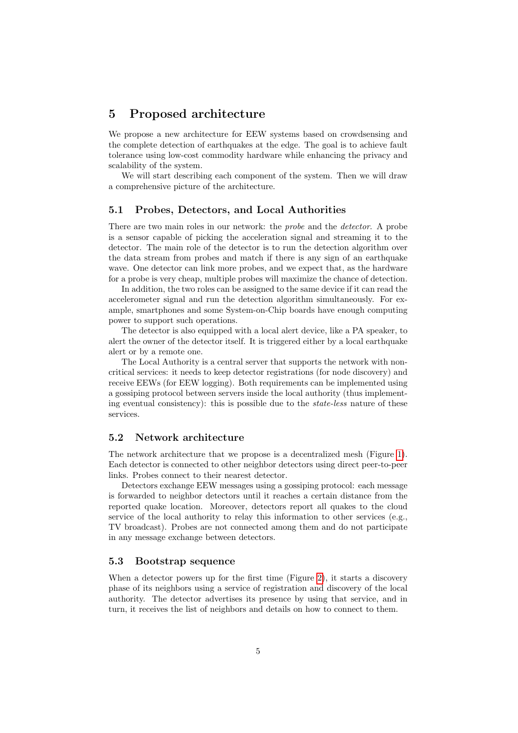# 5 Proposed architecture

We propose a new architecture for EEW systems based on crowdsensing and the complete detection of earthquakes at the edge. The goal is to achieve fault tolerance using low-cost commodity hardware while enhancing the privacy and scalability of the system.

We will start describing each component of the system. Then we will draw a comprehensive picture of the architecture.

### 5.1 Probes, Detectors, and Local Authorities

There are two main roles in our network: the probe and the detector. A probe is a sensor capable of picking the acceleration signal and streaming it to the detector. The main role of the detector is to run the detection algorithm over the data stream from probes and match if there is any sign of an earthquake wave. One detector can link more probes, and we expect that, as the hardware for a probe is very cheap, multiple probes will maximize the chance of detection.

In addition, the two roles can be assigned to the same device if it can read the accelerometer signal and run the detection algorithm simultaneously. For example, smartphones and some System-on-Chip boards have enough computing power to support such operations.

The detector is also equipped with a local alert device, like a PA speaker, to alert the owner of the detector itself. It is triggered either by a local earthquake alert or by a remote one.

The Local Authority is a central server that supports the network with noncritical services: it needs to keep detector registrations (for node discovery) and receive EEWs (for EEW logging). Both requirements can be implemented using a gossiping protocol between servers inside the local authority (thus implementing eventual consistency): this is possible due to the state-less nature of these services.

### 5.2 Network architecture

The network architecture that we propose is a decentralized mesh (Figure [1\)](#page-5-0). Each detector is connected to other neighbor detectors using direct peer-to-peer links. Probes connect to their nearest detector.

Detectors exchange EEW messages using a gossiping protocol: each message is forwarded to neighbor detectors until it reaches a certain distance from the reported quake location. Moreover, detectors report all quakes to the cloud service of the local authority to relay this information to other services (e.g., TV broadcast). Probes are not connected among them and do not participate in any message exchange between detectors.

### 5.3 Bootstrap sequence

When a detector powers up for the first time (Figure [2\)](#page-6-1), it starts a discovery phase of its neighbors using a service of registration and discovery of the local authority. The detector advertises its presence by using that service, and in turn, it receives the list of neighbors and details on how to connect to them.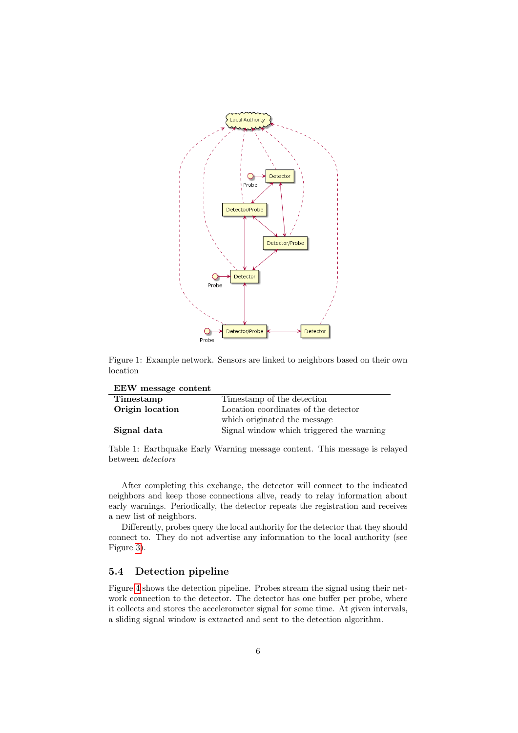

<span id="page-5-0"></span>Figure 1: Example network. Sensors are linked to neighbors based on their own location

EEW message content

| Timestamp       | Timestamp of the detection                |  |  |
|-----------------|-------------------------------------------|--|--|
| Origin location | Location coordinates of the detector      |  |  |
|                 | which originated the message              |  |  |
| Signal data     | Signal window which triggered the warning |  |  |

<span id="page-5-1"></span>Table 1: Earthquake Early Warning message content. This message is relayed between detectors

After completing this exchange, the detector will connect to the indicated neighbors and keep those connections alive, ready to relay information about early warnings. Periodically, the detector repeats the registration and receives a new list of neighbors.

Differently, probes query the local authority for the detector that they should connect to. They do not advertise any information to the local authority (see Figure [3\)](#page-6-2).

### 5.4 Detection pipeline

Figure [4](#page-7-0) shows the detection pipeline. Probes stream the signal using their network connection to the detector. The detector has one buffer per probe, where it collects and stores the accelerometer signal for some time. At given intervals, a sliding signal window is extracted and sent to the detection algorithm.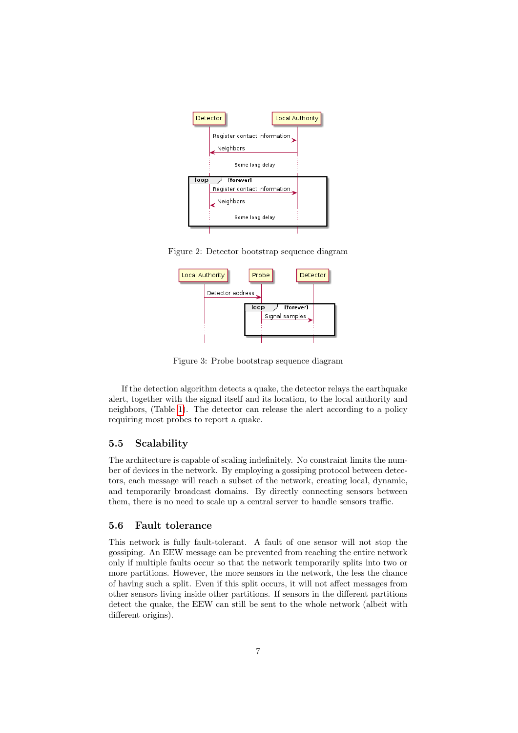

Figure 2: Detector bootstrap sequence diagram

<span id="page-6-1"></span>

<span id="page-6-2"></span>Figure 3: Probe bootstrap sequence diagram

If the detection algorithm detects a quake, the detector relays the earthquake alert, together with the signal itself and its location, to the local authority and neighbors, (Table [1\)](#page-5-1). The detector can release the alert according to a policy requiring most probes to report a quake.

### 5.5 Scalability

The architecture is capable of scaling indefinitely. No constraint limits the number of devices in the network. By employing a gossiping protocol between detectors, each message will reach a subset of the network, creating local, dynamic, and temporarily broadcast domains. By directly connecting sensors between them, there is no need to scale up a central server to handle sensors traffic.

### <span id="page-6-0"></span>5.6 Fault tolerance

This network is fully fault-tolerant. A fault of one sensor will not stop the gossiping. An EEW message can be prevented from reaching the entire network only if multiple faults occur so that the network temporarily splits into two or more partitions. However, the more sensors in the network, the less the chance of having such a split. Even if this split occurs, it will not affect messages from other sensors living inside other partitions. If sensors in the different partitions detect the quake, the EEW can still be sent to the whole network (albeit with different origins).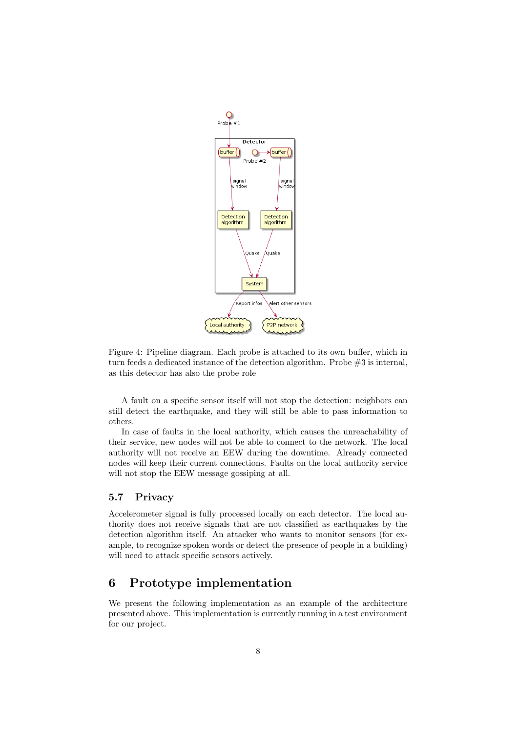

<span id="page-7-0"></span>Figure 4: Pipeline diagram. Each probe is attached to its own buffer, which in turn feeds a dedicated instance of the detection algorithm. Probe #3 is internal, as this detector has also the probe role

A fault on a specific sensor itself will not stop the detection: neighbors can still detect the earthquake, and they will still be able to pass information to others.

In case of faults in the local authority, which causes the unreachability of their service, new nodes will not be able to connect to the network. The local authority will not receive an EEW during the downtime. Already connected nodes will keep their current connections. Faults on the local authority service will not stop the EEW message gossiping at all.

## 5.7 Privacy

Accelerometer signal is fully processed locally on each detector. The local authority does not receive signals that are not classified as earthquakes by the detection algorithm itself. An attacker who wants to monitor sensors (for example, to recognize spoken words or detect the presence of people in a building) will need to attack specific sensors actively.

# 6 Prototype implementation

We present the following implementation as an example of the architecture presented above. This implementation is currently running in a test environment for our project.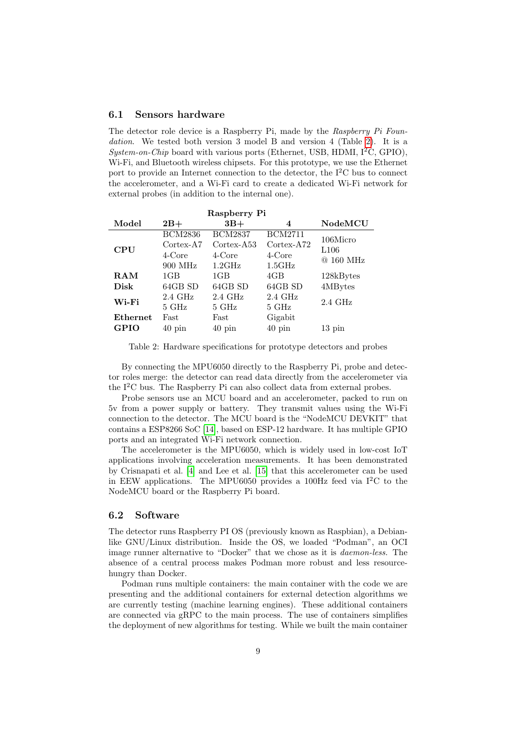#### 6.1 Sensors hardware

The detector role device is a Raspberry Pi, made by the Raspberry Pi Foundation. We tested both version 3 model B and version 4 (Table [2\)](#page-8-0). It is a System-on-Chip board with various ports (Ethernet, USB, HDMI,  $1^2C$ , GPIO), Wi-Fi, and Bluetooth wireless chipsets. For this prototype, we use the Ethernet port to provide an Internet connection to the detector, the  $I^2C$  bus to connect the accelerometer, and a Wi-Fi card to create a dedicated Wi-Fi network for external probes (in addition to the internal one).

| Raspberry Pi |                     |                     |                     |                  |  |  |
|--------------|---------------------|---------------------|---------------------|------------------|--|--|
| Model        | $2B+$               | $3B+$               | 4                   | NodeMCU          |  |  |
| <b>CPU</b>   | <b>BCM2836</b>      | <b>BCM2837</b>      | <b>BCM2711</b>      | 106Micro         |  |  |
|              | $Cortex-A7$         | $Cortex-A53$        | $Cortex-A72$        | L106             |  |  |
|              | 4-Core              | $4$ -Core           | 4-Core              | $@160$ MHz       |  |  |
|              | 900 MHz             | $1.2\text{GHz}$     | 1.5GHz              |                  |  |  |
| ${\bf RAM}$  | 1GB                 | 1GB                 | 4GB                 | 128kBytes        |  |  |
| Disk         | 64GB SD             | 64GB SD             | 64GB SD             | 4MBytes          |  |  |
| Wi-Fi        | $2.4\text{ GHz}$    | $2.4\text{ GHz}$    | $2.4\text{ GHz}$    | $2.4\text{ GHz}$ |  |  |
|              | $5\ \mathrm{GHz}$   | $5\,$ GHz           | $5\ \mathrm{GHz}$   |                  |  |  |
| Ethernet     | Fast                | Fast                | Gigabit             |                  |  |  |
| <b>GPIO</b>  | $40 \,\mathrm{pin}$ | $40 \,\mathrm{pin}$ | $40 \,\mathrm{pin}$ | $13 \text{ pin}$ |  |  |

<span id="page-8-0"></span>Table 2: Hardware specifications for prototype detectors and probes

By connecting the MPU6050 directly to the Raspberry Pi, probe and detector roles merge: the detector can read data directly from the accelerometer via the  $I^2C$  bus. The Raspberry Pi can also collect data from external probes.

Probe sensors use an MCU board and an accelerometer, packed to run on 5v from a power supply or battery. They transmit values using the Wi-Fi connection to the detector. The MCU board is the "NodeMCU DEVKIT" that contains a ESP8266 SoC [\[14\]](#page-13-9), based on ESP-12 hardware. It has multiple GPIO ports and an integrated Wi-Fi network connection.

The accelerometer is the MPU6050, which is widely used in low-cost IoT applications involving acceleration measurements. It has been demonstrated by Crisnapati et al. [\[4\]](#page-12-4) and Lee et al. [\[15\]](#page-13-8) that this accelerometer can be used in EEW applications. The MPU6050 provides a 100Hz feed via  $I^2C$  to the NodeMCU board or the Raspberry Pi board.

### 6.2 Software

The detector runs Raspberry PI OS (previously known as Raspbian), a Debianlike GNU/Linux distribution. Inside the OS, we loaded "Podman", an OCI image runner alternative to "Docker" that we chose as it is daemon-less. The absence of a central process makes Podman more robust and less resourcehungry than Docker.

Podman runs multiple containers: the main container with the code we are presenting and the additional containers for external detection algorithms we are currently testing (machine learning engines). These additional containers are connected via gRPC to the main process. The use of containers simplifies the deployment of new algorithms for testing. While we built the main container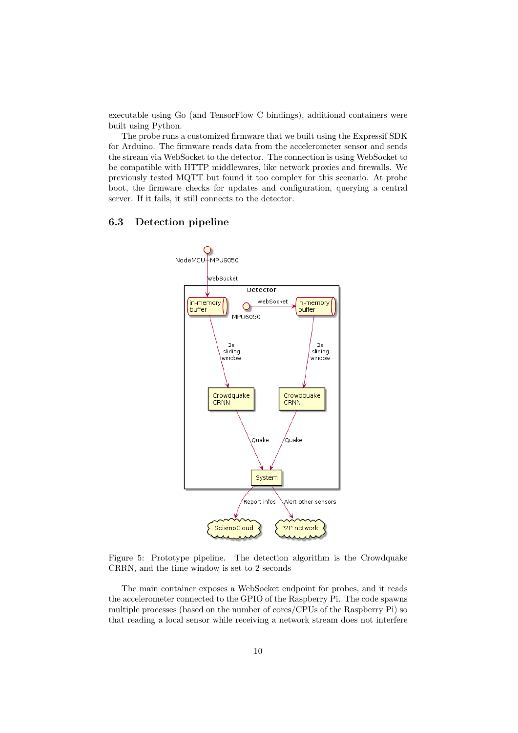executable using Go (and TensorFlow C bindings), additional containers were built using Python.

The probe runs a customized firmware that we built using the Expressif SDK for Arduino. The firmware reads data from the accelerometer sensor and sends the stream via WebSocket to the detector. The connection is using WebSocket to be compatible with HTTP middlewares, like network proxies and firewalls. We previously tested MQTT but found it too complex for this scenario. At probe boot, the firmware checks for updates and configuration, querying a central server. If it fails, it still connects to the detector.

### 6.3 Detection pipeline



<span id="page-9-0"></span>

The main container exposes a WebSocket endpoint for probes, and it reads the accelerometer connected to the GPIO of the Raspberry Pi. The code spawns multiple processes (based on the number of cores/CPUs of the Raspberry Pi) so that reading a local sensor while receiving a network stream does not interfere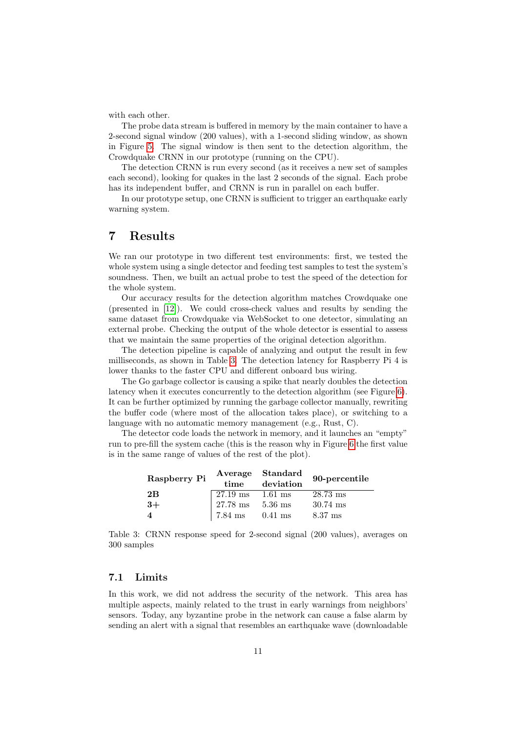with each other.

The probe data stream is buffered in memory by the main container to have a 2-second signal window (200 values), with a 1-second sliding window, as shown in Figure [5.](#page-9-0) The signal window is then sent to the detection algorithm, the Crowdquake CRNN in our prototype (running on the CPU).

The detection CRNN is run every second (as it receives a new set of samples each second), looking for quakes in the last 2 seconds of the signal. Each probe has its independent buffer, and CRNN is run in parallel on each buffer.

In our prototype setup, one CRNN is sufficient to trigger an earthquake early warning system.

# 7 Results

We ran our prototype in two different test environments: first, we tested the whole system using a single detector and feeding test samples to test the system's soundness. Then, we built an actual probe to test the speed of the detection for the whole system.

Our accuracy results for the detection algorithm matches Crowdquake one (presented in [\[12\]](#page-13-6)). We could cross-check values and results by sending the same dataset from Crowdquake via WebSocket to one detector, simulating an external probe. Checking the output of the whole detector is essential to assess that we maintain the same properties of the original detection algorithm.

The detection pipeline is capable of analyzing and output the result in few milliseconds, as shown in Table [3.](#page-10-0) The detection latency for Raspberry Pi 4 is lower thanks to the faster CPU and different onboard bus wiring.

The Go garbage collector is causing a spike that nearly doubles the detection latency when it executes concurrently to the detection algorithm (see Figure [6\)](#page-11-0). It can be further optimized by running the garbage collector manually, rewriting the buffer code (where most of the allocation takes place), or switching to a language with no automatic memory management (e.g., Rust, C).

The detector code loads the network in memory, and it launches an "empty" run to pre-fill the system cache (this is the reason why in Figure [6](#page-11-0) the first value is in the same range of values of the rest of the plot).

| Raspberry Pi            | time       | Average Standard<br>deviation | 90-percentile |
|-------------------------|------------|-------------------------------|---------------|
| 2B                      | $27.19$ ms | $1.61$ ms                     | $28.73$ ms    |
| $3+$                    | $27.78$ ms | $5.36$ ms                     | $30.74$ ms    |
| $\overline{\mathbf{4}}$ | $7.84$ ms  | $0.41$ ms                     | $8.37$ ms     |

<span id="page-10-0"></span>Table 3: CRNN response speed for 2-second signal (200 values), averages on 300 samples

### 7.1 Limits

In this work, we did not address the security of the network. This area has multiple aspects, mainly related to the trust in early warnings from neighbors' sensors. Today, any byzantine probe in the network can cause a false alarm by sending an alert with a signal that resembles an earthquake wave (downloadable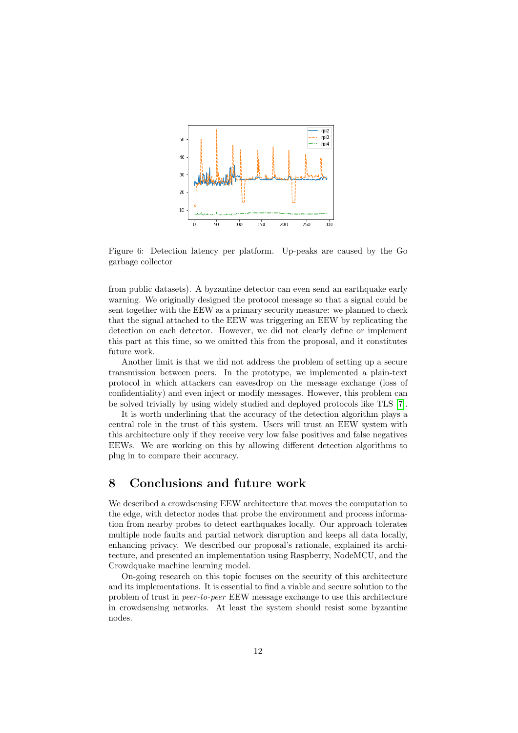

<span id="page-11-0"></span>Figure 6: Detection latency per platform. Up-peaks are caused by the Go garbage collector

from public datasets). A byzantine detector can even send an earthquake early warning. We originally designed the protocol message so that a signal could be sent together with the EEW as a primary security measure: we planned to check that the signal attached to the EEW was triggering an EEW by replicating the detection on each detector. However, we did not clearly define or implement this part at this time, so we omitted this from the proposal, and it constitutes future work.

Another limit is that we did not address the problem of setting up a secure transmission between peers. In the prototype, we implemented a plain-text protocol in which attackers can eavesdrop on the message exchange (loss of confidentiality) and even inject or modify messages. However, this problem can be solved trivially by using widely studied and deployed protocols like TLS [\[7\]](#page-12-5).

It is worth underlining that the accuracy of the detection algorithm plays a central role in the trust of this system. Users will trust an EEW system with this architecture only if they receive very low false positives and false negatives EEWs. We are working on this by allowing different detection algorithms to plug in to compare their accuracy.

# 8 Conclusions and future work

We described a crowdsensing EEW architecture that moves the computation to the edge, with detector nodes that probe the environment and process information from nearby probes to detect earthquakes locally. Our approach tolerates multiple node faults and partial network disruption and keeps all data locally, enhancing privacy. We described our proposal's rationale, explained its architecture, and presented an implementation using Raspberry, NodeMCU, and the Crowdquake machine learning model.

On-going research on this topic focuses on the security of this architecture and its implementations. It is essential to find a viable and secure solution to the problem of trust in peer-to-peer EEW message exchange to use this architecture in crowdsensing networks. At least the system should resist some byzantine nodes.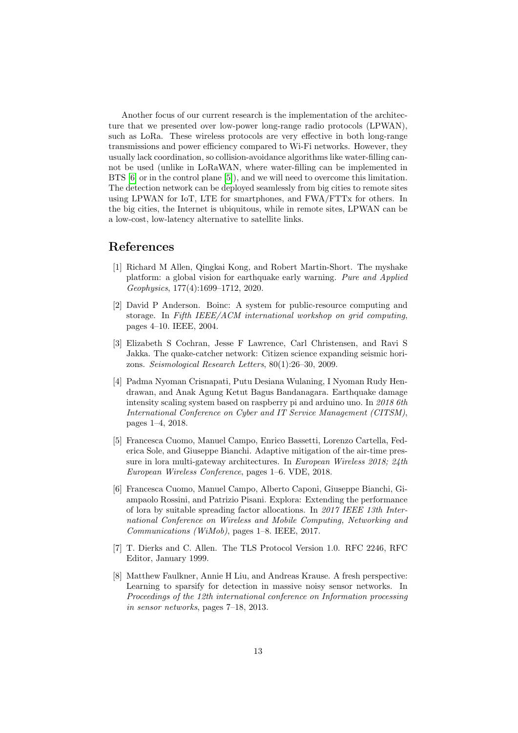Another focus of our current research is the implementation of the architecture that we presented over low-power long-range radio protocols (LPWAN), such as LoRa. These wireless protocols are very effective in both long-range transmissions and power efficiency compared to Wi-Fi networks. However, they usually lack coordination, so collision-avoidance algorithms like water-filling cannot be used (unlike in LoRaWAN, where water-filling can be implemented in BTS [\[6\]](#page-12-6) or in the control plane [\[5\]](#page-12-7)), and we will need to overcome this limitation. The detection network can be deployed seamlessly from big cities to remote sites using LPWAN for IoT, LTE for smartphones, and FWA/FTTx for others. In the big cities, the Internet is ubiquitous, while in remote sites, LPWAN can be a low-cost, low-latency alternative to satellite links.

# References

- <span id="page-12-0"></span>[1] Richard M Allen, Qingkai Kong, and Robert Martin-Short. The myshake platform: a global vision for earthquake early warning. Pure and Applied Geophysics, 177(4):1699–1712, 2020.
- <span id="page-12-3"></span>[2] David P Anderson. Boinc: A system for public-resource computing and storage. In Fifth IEEE/ACM international workshop on grid computing, pages 4–10. IEEE, 2004.
- <span id="page-12-2"></span>[3] Elizabeth S Cochran, Jesse F Lawrence, Carl Christensen, and Ravi S Jakka. The quake-catcher network: Citizen science expanding seismic horizons. Seismological Research Letters, 80(1):26–30, 2009.
- <span id="page-12-4"></span>[4] Padma Nyoman Crisnapati, Putu Desiana Wulaning, I Nyoman Rudy Hendrawan, and Anak Agung Ketut Bagus Bandanagara. Earthquake damage intensity scaling system based on raspberry pi and arduino uno. In 2018 6th International Conference on Cyber and IT Service Management (CITSM), pages 1–4, 2018.
- <span id="page-12-7"></span>[5] Francesca Cuomo, Manuel Campo, Enrico Bassetti, Lorenzo Cartella, Federica Sole, and Giuseppe Bianchi. Adaptive mitigation of the air-time pressure in lora multi-gateway architectures. In European Wireless 2018; 24th European Wireless Conference, pages 1–6. VDE, 2018.
- <span id="page-12-6"></span>[6] Francesca Cuomo, Manuel Campo, Alberto Caponi, Giuseppe Bianchi, Giampaolo Rossini, and Patrizio Pisani. Explora: Extending the performance of lora by suitable spreading factor allocations. In 2017 IEEE 13th International Conference on Wireless and Mobile Computing, Networking and Communications (WiMob), pages 1–8. IEEE, 2017.
- <span id="page-12-5"></span>[7] T. Dierks and C. Allen. The TLS Protocol Version 1.0. RFC 2246, RFC Editor, January 1999.
- <span id="page-12-1"></span>[8] Matthew Faulkner, Annie H Liu, and Andreas Krause. A fresh perspective: Learning to sparsify for detection in massive noisy sensor networks. In Proceedings of the 12th international conference on Information processing in sensor networks, pages 7–18, 2013.